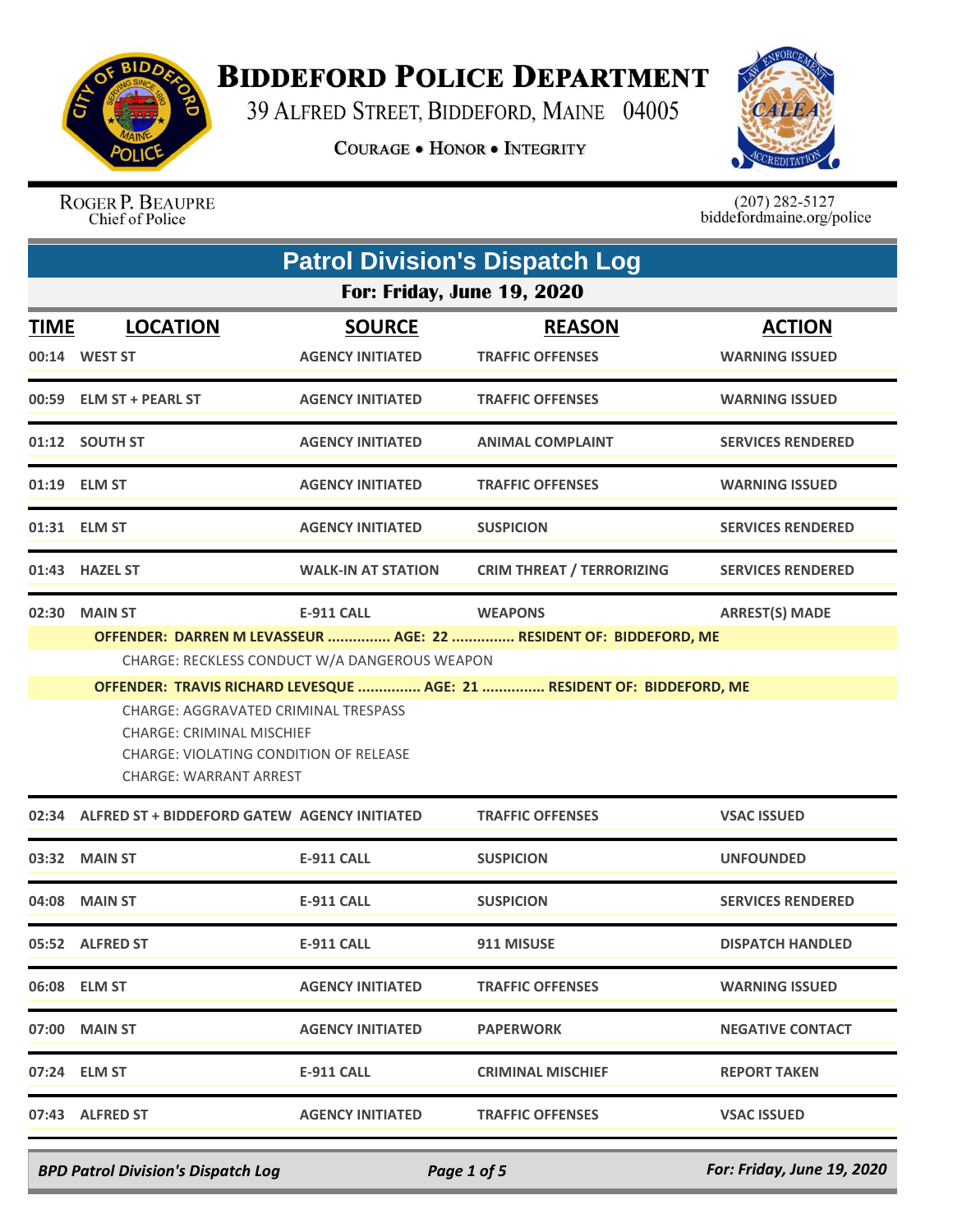

## **BIDDEFORD POLICE DEPARTMENT**

39 ALFRED STREET, BIDDEFORD, MAINE 04005

**COURAGE . HONOR . INTEGRITY** 



ROGER P. BEAUPRE Chief of Police

 $(207)$  282-5127<br>biddefordmaine.org/police

|             | <b>Patrol Division's Dispatch Log</b>                                                                                                               |                                          |                                                                                     |                                        |  |  |
|-------------|-----------------------------------------------------------------------------------------------------------------------------------------------------|------------------------------------------|-------------------------------------------------------------------------------------|----------------------------------------|--|--|
|             | <b>For: Friday, June 19, 2020</b>                                                                                                                   |                                          |                                                                                     |                                        |  |  |
| <b>TIME</b> | <b>LOCATION</b><br>00:14 WEST ST                                                                                                                    | <b>SOURCE</b><br><b>AGENCY INITIATED</b> | <b>REASON</b><br><b>TRAFFIC OFFENSES</b>                                            | <b>ACTION</b><br><b>WARNING ISSUED</b> |  |  |
|             | 00:59 ELM ST + PEARL ST                                                                                                                             | <b>AGENCY INITIATED</b>                  | <b>TRAFFIC OFFENSES</b>                                                             | <b>WARNING ISSUED</b>                  |  |  |
|             | 01:12 SOUTH ST                                                                                                                                      | <b>AGENCY INITIATED</b>                  | <b>ANIMAL COMPLAINT</b>                                                             | <b>SERVICES RENDERED</b>               |  |  |
|             | 01:19 ELM ST                                                                                                                                        | <b>AGENCY INITIATED</b>                  | <b>TRAFFIC OFFENSES</b>                                                             | <b>WARNING ISSUED</b>                  |  |  |
|             | 01:31 ELM ST                                                                                                                                        | <b>AGENCY INITIATED</b>                  | <b>SUSPICION</b>                                                                    | <b>SERVICES RENDERED</b>               |  |  |
|             | 01:43 HAZEL ST                                                                                                                                      | <b>WALK-IN AT STATION</b>                | <b>CRIM THREAT / TERRORIZING</b>                                                    | <b>SERVICES RENDERED</b>               |  |  |
|             | 02:30 MAIN ST<br>CHARGE: RECKLESS CONDUCT W/A DANGEROUS WEAPON                                                                                      | <b>E-911 CALL</b>                        | <b>WEAPONS</b><br>OFFENDER: DARREN M LEVASSEUR  AGE: 22  RESIDENT OF: BIDDEFORD, ME | <b>ARREST(S) MADE</b>                  |  |  |
|             | CHARGE: AGGRAVATED CRIMINAL TRESPASS<br><b>CHARGE: CRIMINAL MISCHIEF</b><br><b>CHARGE: VIOLATING CONDITION OF RELEASE</b><br>CHARGE: WARRANT ARREST |                                          | OFFENDER: TRAVIS RICHARD LEVESQUE  AGE: 21  RESIDENT OF: BIDDEFORD, ME              |                                        |  |  |
| 02:34       | ALFRED ST + BIDDEFORD GATEW AGENCY INITIATED                                                                                                        |                                          | <b>TRAFFIC OFFENSES</b>                                                             | <b>VSAC ISSUED</b>                     |  |  |
|             | 03:32 MAIN ST                                                                                                                                       | <b>E-911 CALL</b>                        | <b>SUSPICION</b>                                                                    | <b>UNFOUNDED</b>                       |  |  |
|             | 04:08 MAIN ST                                                                                                                                       | <b>E-911 CALL</b>                        | <b>SUSPICION</b>                                                                    | <b>SERVICES RENDERED</b>               |  |  |
|             | 05:52 ALFRED ST                                                                                                                                     | <b>E-911 CALL</b>                        | 911 MISUSE                                                                          | <b>DISPATCH HANDLED</b>                |  |  |
|             | 06:08 ELM ST                                                                                                                                        | <b>AGENCY INITIATED</b>                  | <b>TRAFFIC OFFENSES</b>                                                             | <b>WARNING ISSUED</b>                  |  |  |
|             | 07:00 MAIN ST                                                                                                                                       | <b>AGENCY INITIATED</b>                  | <b>PAPERWORK</b>                                                                    | <b>NEGATIVE CONTACT</b>                |  |  |
|             | 07:24 ELM ST                                                                                                                                        | E-911 CALL                               | <b>CRIMINAL MISCHIEF</b>                                                            | <b>REPORT TAKEN</b>                    |  |  |
|             | 07:43 ALFRED ST                                                                                                                                     | <b>AGENCY INITIATED</b>                  | <b>TRAFFIC OFFENSES</b>                                                             | <b>VSAC ISSUED</b>                     |  |  |

*BPD Patrol Division's Dispatch Log Page 1 of 5 For: Friday, June 19, 2020*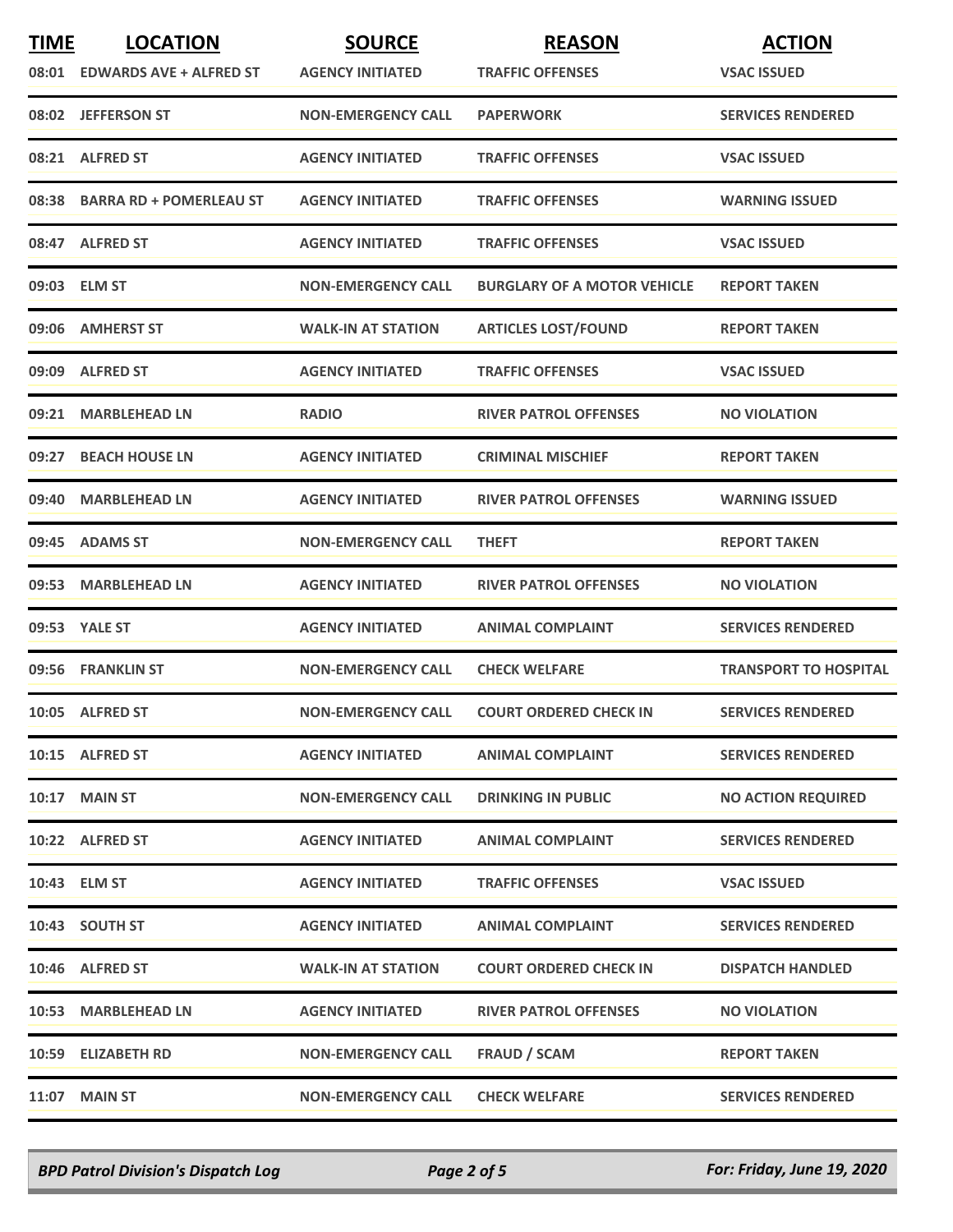| <b>TIME</b> | <b>LOCATION</b>               | <b>SOURCE</b>             | <b>REASON</b>                      | <b>ACTION</b>                |
|-------------|-------------------------------|---------------------------|------------------------------------|------------------------------|
|             | 08:01 EDWARDS AVE + ALFRED ST | <b>AGENCY INITIATED</b>   | <b>TRAFFIC OFFENSES</b>            | <b>VSAC ISSUED</b>           |
|             | 08:02 JEFFERSON ST            | <b>NON-EMERGENCY CALL</b> | <b>PAPERWORK</b>                   | <b>SERVICES RENDERED</b>     |
|             | 08:21 ALFRED ST               | <b>AGENCY INITIATED</b>   | <b>TRAFFIC OFFENSES</b>            | <b>VSAC ISSUED</b>           |
|             | 08:38 BARRA RD + POMERLEAU ST | <b>AGENCY INITIATED</b>   | <b>TRAFFIC OFFENSES</b>            | <b>WARNING ISSUED</b>        |
|             | 08:47 ALFRED ST               | <b>AGENCY INITIATED</b>   | <b>TRAFFIC OFFENSES</b>            | <b>VSAC ISSUED</b>           |
|             | 09:03 ELM ST                  | <b>NON-EMERGENCY CALL</b> | <b>BURGLARY OF A MOTOR VEHICLE</b> | <b>REPORT TAKEN</b>          |
|             | 09:06 AMHERST ST              | <b>WALK-IN AT STATION</b> | <b>ARTICLES LOST/FOUND</b>         | <b>REPORT TAKEN</b>          |
|             | 09:09 ALFRED ST               | <b>AGENCY INITIATED</b>   | <b>TRAFFIC OFFENSES</b>            | <b>VSAC ISSUED</b>           |
|             | 09:21 MARBLEHEAD LN           | <b>RADIO</b>              | <b>RIVER PATROL OFFENSES</b>       | <b>NO VIOLATION</b>          |
| 09:27       | <b>BEACH HOUSE LN</b>         | <b>AGENCY INITIATED</b>   | <b>CRIMINAL MISCHIEF</b>           | <b>REPORT TAKEN</b>          |
|             | 09:40 MARBLEHEAD LN           | <b>AGENCY INITIATED</b>   | <b>RIVER PATROL OFFENSES</b>       | <b>WARNING ISSUED</b>        |
|             | 09:45 ADAMS ST                | <b>NON-EMERGENCY CALL</b> | <b>THEFT</b>                       | <b>REPORT TAKEN</b>          |
|             | 09:53 MARBLEHEAD LN           | <b>AGENCY INITIATED</b>   | <b>RIVER PATROL OFFENSES</b>       | <b>NO VIOLATION</b>          |
|             | 09:53 YALE ST                 | <b>AGENCY INITIATED</b>   | <b>ANIMAL COMPLAINT</b>            | <b>SERVICES RENDERED</b>     |
|             | 09:56 FRANKLIN ST             | <b>NON-EMERGENCY CALL</b> | <b>CHECK WELFARE</b>               | <b>TRANSPORT TO HOSPITAL</b> |
|             | 10:05 ALFRED ST               | <b>NON-EMERGENCY CALL</b> | <b>COURT ORDERED CHECK IN</b>      | <b>SERVICES RENDERED</b>     |
|             | 10:15 ALFRED ST               | <b>AGENCY INITIATED</b>   | <b>ANIMAL COMPLAINT</b>            | <b>SERVICES RENDERED</b>     |
|             | 10:17 MAIN ST                 | <b>NON-EMERGENCY CALL</b> | <b>DRINKING IN PUBLIC</b>          | <b>NO ACTION REQUIRED</b>    |
|             | 10:22 ALFRED ST               | <b>AGENCY INITIATED</b>   | <b>ANIMAL COMPLAINT</b>            | <b>SERVICES RENDERED</b>     |
|             | 10:43 ELM ST                  | <b>AGENCY INITIATED</b>   | <b>TRAFFIC OFFENSES</b>            | <b>VSAC ISSUED</b>           |
|             | 10:43 SOUTH ST                | <b>AGENCY INITIATED</b>   | <b>ANIMAL COMPLAINT</b>            | <b>SERVICES RENDERED</b>     |
|             | 10:46 ALFRED ST               | <b>WALK-IN AT STATION</b> | <b>COURT ORDERED CHECK IN</b>      | <b>DISPATCH HANDLED</b>      |
|             | 10:53 MARBLEHEAD LN           | <b>AGENCY INITIATED</b>   | <b>RIVER PATROL OFFENSES</b>       | <b>NO VIOLATION</b>          |
|             | 10:59 ELIZABETH RD            | <b>NON-EMERGENCY CALL</b> | <b>FRAUD / SCAM</b>                | <b>REPORT TAKEN</b>          |
|             | <b>11:07 MAIN ST</b>          | <b>NON-EMERGENCY CALL</b> | <b>CHECK WELFARE</b>               | <b>SERVICES RENDERED</b>     |

*BPD Patrol Division's Dispatch Log Page 2 of 5 For: Friday, June 19, 2020*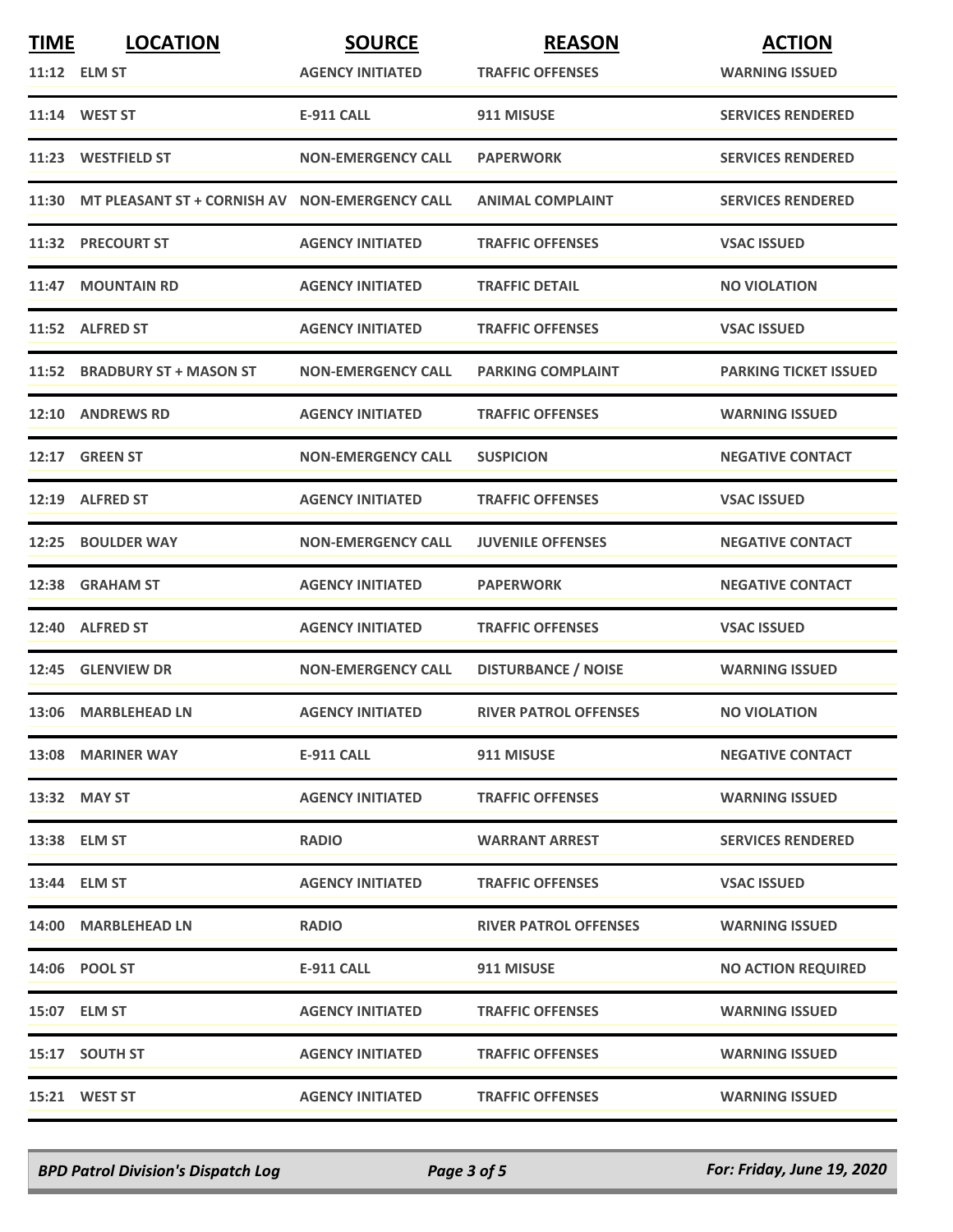| <b>TIME</b> | <b>LOCATION</b>                                      | <b>SOURCE</b>             | <b>REASON</b>                | <b>ACTION</b>                |
|-------------|------------------------------------------------------|---------------------------|------------------------------|------------------------------|
|             | 11:12 ELM ST                                         | <b>AGENCY INITIATED</b>   | <b>TRAFFIC OFFENSES</b>      | <b>WARNING ISSUED</b>        |
|             | 11:14 WEST ST                                        | <b>E-911 CALL</b>         | 911 MISUSE                   | <b>SERVICES RENDERED</b>     |
|             | 11:23 WESTFIELD ST                                   | <b>NON-EMERGENCY CALL</b> | <b>PAPERWORK</b>             | <b>SERVICES RENDERED</b>     |
|             | 11:30 MT PLEASANT ST + CORNISH AV NON-EMERGENCY CALL |                           | <b>ANIMAL COMPLAINT</b>      | <b>SERVICES RENDERED</b>     |
|             | 11:32 PRECOURT ST                                    | <b>AGENCY INITIATED</b>   | <b>TRAFFIC OFFENSES</b>      | <b>VSAC ISSUED</b>           |
|             | 11:47 MOUNTAIN RD                                    | <b>AGENCY INITIATED</b>   | <b>TRAFFIC DETAIL</b>        | <b>NO VIOLATION</b>          |
|             | 11:52 ALFRED ST                                      | <b>AGENCY INITIATED</b>   | <b>TRAFFIC OFFENSES</b>      | <b>VSAC ISSUED</b>           |
|             | 11:52 BRADBURY ST + MASON ST                         | <b>NON-EMERGENCY CALL</b> | <b>PARKING COMPLAINT</b>     | <b>PARKING TICKET ISSUED</b> |
|             | 12:10 ANDREWS RD                                     | <b>AGENCY INITIATED</b>   | <b>TRAFFIC OFFENSES</b>      | <b>WARNING ISSUED</b>        |
| 12:17       | <b>GREEN ST</b>                                      | <b>NON-EMERGENCY CALL</b> | <b>SUSPICION</b>             | <b>NEGATIVE CONTACT</b>      |
|             | 12:19 ALFRED ST                                      | <b>AGENCY INITIATED</b>   | <b>TRAFFIC OFFENSES</b>      | <b>VSAC ISSUED</b>           |
|             | 12:25 BOULDER WAY                                    | <b>NON-EMERGENCY CALL</b> | <b>JUVENILE OFFENSES</b>     | <b>NEGATIVE CONTACT</b>      |
|             | 12:38 GRAHAM ST                                      | <b>AGENCY INITIATED</b>   | <b>PAPERWORK</b>             | <b>NEGATIVE CONTACT</b>      |
|             | 12:40 ALFRED ST                                      | <b>AGENCY INITIATED</b>   | <b>TRAFFIC OFFENSES</b>      | <b>VSAC ISSUED</b>           |
|             | 12:45 GLENVIEW DR                                    | <b>NON-EMERGENCY CALL</b> | <b>DISTURBANCE / NOISE</b>   | <b>WARNING ISSUED</b>        |
|             | 13:06 MARBLEHEAD LN                                  | <b>AGENCY INITIATED</b>   | <b>RIVER PATROL OFFENSES</b> | <b>NO VIOLATION</b>          |
|             | 13:08 MARINER WAY                                    | E-911 CALL                | 911 MISUSE                   | <b>NEGATIVE CONTACT</b>      |
|             | 13:32 MAY ST                                         | <b>AGENCY INITIATED</b>   | <b>TRAFFIC OFFENSES</b>      | <b>WARNING ISSUED</b>        |
|             | 13:38 ELM ST                                         | <b>RADIO</b>              | <b>WARRANT ARREST</b>        | <b>SERVICES RENDERED</b>     |
|             | 13:44 ELM ST                                         | <b>AGENCY INITIATED</b>   | <b>TRAFFIC OFFENSES</b>      | <b>VSAC ISSUED</b>           |
|             | 14:00 MARBLEHEAD LN                                  | <b>RADIO</b>              | <b>RIVER PATROL OFFENSES</b> | <b>WARNING ISSUED</b>        |
|             | 14:06 POOL ST                                        | <b>E-911 CALL</b>         | 911 MISUSE                   | <b>NO ACTION REQUIRED</b>    |
|             | 15:07 ELM ST                                         | <b>AGENCY INITIATED</b>   | <b>TRAFFIC OFFENSES</b>      | <b>WARNING ISSUED</b>        |
|             | 15:17 SOUTH ST                                       | <b>AGENCY INITIATED</b>   | <b>TRAFFIC OFFENSES</b>      | <b>WARNING ISSUED</b>        |
|             | 15:21 WEST ST                                        | <b>AGENCY INITIATED</b>   | <b>TRAFFIC OFFENSES</b>      | <b>WARNING ISSUED</b>        |

*BPD Patrol Division's Dispatch Log Page 3 of 5 For: Friday, June 19, 2020*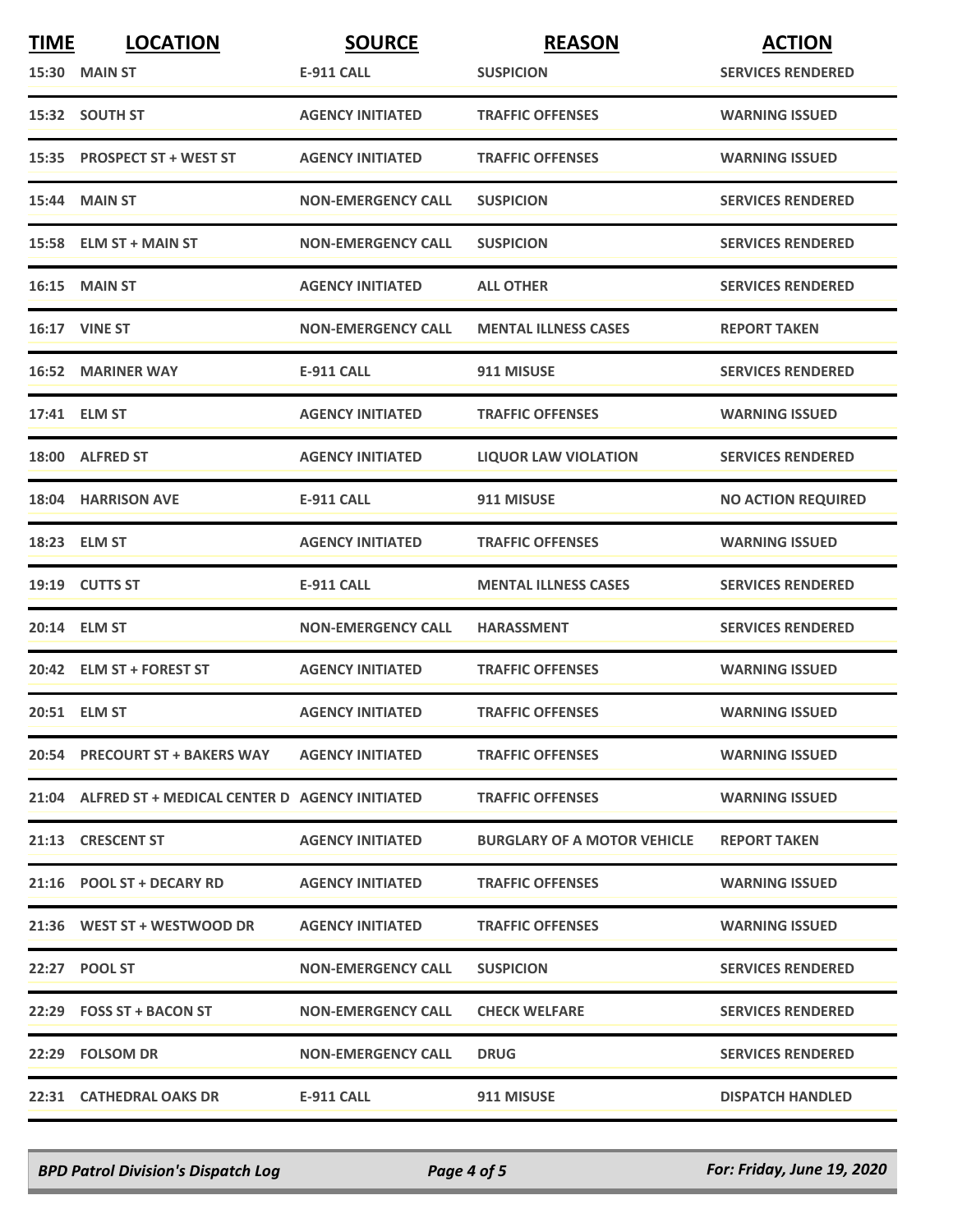| <b>TIME</b> | <b>LOCATION</b>                                     | <b>SOURCE</b>             | <b>REASON</b>                      | <b>ACTION</b>             |
|-------------|-----------------------------------------------------|---------------------------|------------------------------------|---------------------------|
|             | 15:30 MAIN ST                                       | <b>E-911 CALL</b>         | <b>SUSPICION</b>                   | <b>SERVICES RENDERED</b>  |
|             | 15:32 SOUTH ST                                      | <b>AGENCY INITIATED</b>   | <b>TRAFFIC OFFENSES</b>            | <b>WARNING ISSUED</b>     |
|             | 15:35 PROSPECT ST + WEST ST                         | <b>AGENCY INITIATED</b>   | <b>TRAFFIC OFFENSES</b>            | <b>WARNING ISSUED</b>     |
|             | <b>15:44 MAIN ST</b>                                | <b>NON-EMERGENCY CALL</b> | <b>SUSPICION</b>                   | <b>SERVICES RENDERED</b>  |
|             | 15:58 ELM ST + MAIN ST                              | <b>NON-EMERGENCY CALL</b> | <b>SUSPICION</b>                   | <b>SERVICES RENDERED</b>  |
|             | <b>16:15 MAIN ST</b>                                | <b>AGENCY INITIATED</b>   | <b>ALL OTHER</b>                   | <b>SERVICES RENDERED</b>  |
|             | <b>16:17 VINE ST</b>                                | <b>NON-EMERGENCY CALL</b> | <b>MENTAL ILLNESS CASES</b>        | <b>REPORT TAKEN</b>       |
|             | <b>16:52 MARINER WAY</b>                            | <b>E-911 CALL</b>         | 911 MISUSE                         | <b>SERVICES RENDERED</b>  |
|             | 17:41 ELM ST                                        | <b>AGENCY INITIATED</b>   | <b>TRAFFIC OFFENSES</b>            | <b>WARNING ISSUED</b>     |
|             | 18:00 ALFRED ST                                     | <b>AGENCY INITIATED</b>   | <b>LIQUOR LAW VIOLATION</b>        | <b>SERVICES RENDERED</b>  |
|             | 18:04 HARRISON AVE                                  | E-911 CALL                | 911 MISUSE                         | <b>NO ACTION REQUIRED</b> |
|             | 18:23 ELM ST                                        | <b>AGENCY INITIATED</b>   | <b>TRAFFIC OFFENSES</b>            | <b>WARNING ISSUED</b>     |
|             | 19:19 CUTTS ST                                      | <b>E-911 CALL</b>         | <b>MENTAL ILLNESS CASES</b>        | <b>SERVICES RENDERED</b>  |
|             | 20:14 ELM ST                                        | <b>NON-EMERGENCY CALL</b> | <b>HARASSMENT</b>                  | <b>SERVICES RENDERED</b>  |
|             | 20:42 ELM ST + FOREST ST                            | <b>AGENCY INITIATED</b>   | <b>TRAFFIC OFFENSES</b>            | <b>WARNING ISSUED</b>     |
|             | 20:51 ELM ST                                        | <b>AGENCY INITIATED</b>   | <b>TRAFFIC OFFENSES</b>            | <b>WARNING ISSUED</b>     |
|             | 20:54 PRECOURT ST + BAKERS WAY AGENCY INITIATED     |                           | <b>TRAFFIC OFFENSES</b>            | <b>WARNING ISSUED</b>     |
|             | 21:04 ALFRED ST + MEDICAL CENTER D AGENCY INITIATED |                           | <b>TRAFFIC OFFENSES</b>            | <b>WARNING ISSUED</b>     |
|             | 21:13 CRESCENT ST                                   | <b>AGENCY INITIATED</b>   | <b>BURGLARY OF A MOTOR VEHICLE</b> | <b>REPORT TAKEN</b>       |
|             | 21:16 POOL ST + DECARY RD                           | <b>AGENCY INITIATED</b>   | <b>TRAFFIC OFFENSES</b>            | <b>WARNING ISSUED</b>     |
|             | 21:36 WEST ST + WESTWOOD DR                         | <b>AGENCY INITIATED</b>   | <b>TRAFFIC OFFENSES</b>            | <b>WARNING ISSUED</b>     |
|             | 22:27 POOL ST                                       | <b>NON-EMERGENCY CALL</b> | <b>SUSPICION</b>                   | <b>SERVICES RENDERED</b>  |
|             | 22:29 FOSS ST + BACON ST                            | <b>NON-EMERGENCY CALL</b> | <b>CHECK WELFARE</b>               | <b>SERVICES RENDERED</b>  |
|             | 22:29 FOLSOM DR                                     | <b>NON-EMERGENCY CALL</b> | <b>DRUG</b>                        | <b>SERVICES RENDERED</b>  |
|             | 22:31 CATHEDRAL OAKS DR                             | E-911 CALL                | 911 MISUSE                         | <b>DISPATCH HANDLED</b>   |

*BPD Patrol Division's Dispatch Log Page 4 of 5 For: Friday, June 19, 2020*